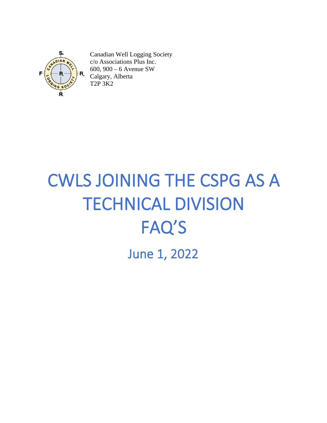

Canadian Well Logging Society c/o Associations Plus Inc. 600, 900 – 6 Avenue SW Calgary, Alberta T2P 3K2

# CWLS JOINING THE CSPG AS A TECHNICAL DIVISION FAQ'S June 1, 2022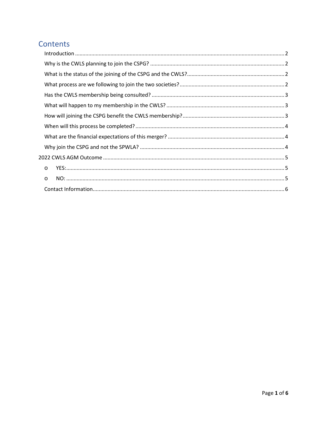# Contents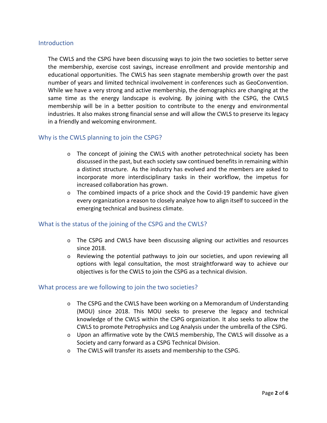#### <span id="page-2-0"></span>**Introduction**

The CWLS and the CSPG have been discussing ways to join the two societies to better serve the membership, exercise cost savings, increase enrollment and provide mentorship and educational opportunities. The CWLS has seen stagnate membership growth over the past number of years and limited technical involvement in conferences such as GeoConvention. While we have a very strong and active membership, the demographics are changing at the same time as the energy landscape is evolving. By joining with the CSPG, the CWLS membership will be in a better position to contribute to the energy and environmental industries. It also makes strong financial sense and will allow the CWLS to preserve its legacy in a friendly and welcoming environment.

# <span id="page-2-1"></span>Why is the CWLS planning to join the CSPG?

- $\circ$  The concept of joining the CWLS with another petrotechnical society has been discussed in the past, but each society saw continued benefits in remaining within a distinct structure. As the industry has evolved and the members are asked to incorporate more interdisciplinary tasks in their workflow, the impetus for increased collaboration has grown.
- $\circ$  The combined impacts of a price shock and the Covid-19 pandemic have given every organization a reason to closely analyze how to align itself to succeed in the emerging technical and business climate.

#### <span id="page-2-2"></span>What is the status of the joining of the CSPG and the CWLS?

- o The CSPG and CWLS have been discussing aligning our activities and resources since 2018.
- $\circ$  Reviewing the potential pathways to join our societies, and upon reviewing all options with legal consultation, the most straightforward way to achieve our objectives is for the CWLS to join the CSPG as a technical division.

#### <span id="page-2-3"></span>What process are we following to join the two societies?

- $\circ$  The CSPG and the CWLS have been working on a Memorandum of Understanding (MOU) since 2018. This MOU seeks to preserve the legacy and technical knowledge of the CWLS within the CSPG organization. It also seeks to allow the CWLS to promote Petrophysics and Log Analysis under the umbrella of the CSPG.
- o Upon an affirmative vote by the CWLS membership, The CWLS will dissolve as a Society and carry forward as a CSPG Technical Division.
- o The CWLS will transfer its assets and membership to the CSPG.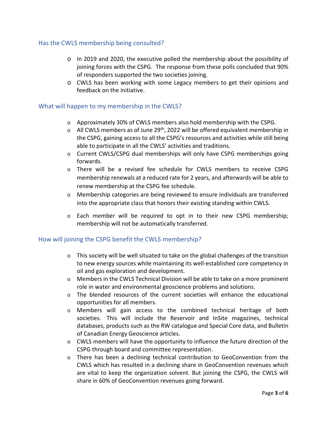# <span id="page-3-0"></span>Has the CWLS membership being consulted?

- $\circ$  In 2019 and 2020, the executive polled the membership about the possibility of joining forces with the CSPG. The response from these polls concluded that 90% of responders supported the two societies joining.
- o CWLS has been working with some Legacy members to get their opinions and feedback on the initiative.

#### <span id="page-3-1"></span>What will happen to my membership in the CWLS?

- $\circ$  Approximately 30% of CWLS members also hold membership with the CSPG.
- $\circ$  All CWLS members as of June 29<sup>th</sup>, 2022 will be offered equivalent membership in the CSPG, gaining access to all the CSPG's resources and activities while still being able to participate in all the CWLS' activities and traditions.
- o Current CWLS/CSPG dual memberships will only have CSPG memberships going forwards.
- o There will be a revised fee schedule for CWLS members to receive CSPG membership renewals at a reduced rate for 2 years, and afterwards will be able to renew membership at the CSPG fee schedule.
- $\circ$  Membership categories are being reviewed to ensure individuals are transferred into the appropriate class that honors their existing standing within CWLS.
- $\circ$  Each member will be required to opt in to their new CSPG membership; membership will not be automatically transferred.

# <span id="page-3-2"></span>How will joining the CSPG benefit the CWLS membership?

- o This society will be well situated to take on the global challenges of the transition to new energy sources while maintaining its well-established core competency in oil and gas exploration and development.
- $\circ$  Members in the CWLS Technical Division will be able to take on a more prominent role in water and environmental geoscience problems and solutions.
- o The blended resources of the current societies will enhance the educational opportunities for all members.
- o Members will gain access to the combined technical heritage of both societies. This will include the Reservoir and InSite magazines, technical databases, products such as the RW catalogue and Special Core data, and Bulletin of Canadian Energy Geoscience articles.
- $\circ$  CWLS members will have the opportunity to influence the future direction of the CSPG through board and committee representation.
- $\circ$  There has been a declining technical contribution to GeoConvention from the CWLS which has resulted in a declining share in GeoConvention revenues which are vital to keep the organization solvent. But joining the CSPG, the CWLS will share in 60% of GeoConvention revenues going forward.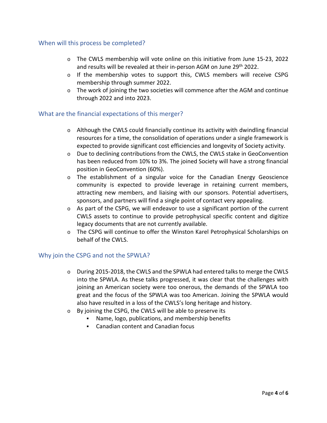# <span id="page-4-0"></span>When will this process be completed?

- o The CWLS membership will vote online on this initiative from June 15-23, 2022 and results will be revealed at their in-person AGM on June 29th 2022.
- o If the membership votes to support this, CWLS members will receive CSPG membership through summer 2022.
- $\circ$  The work of joining the two societies will commence after the AGM and continue through 2022 and into 2023.

# <span id="page-4-1"></span>What are the financial expectations of this merger?

- $\circ$  Although the CWLS could financially continue its activity with dwindling financial resources for a time, the consolidation of operations under a single framework is expected to provide significant cost efficiencies and longevity of Society activity.
- o Due to declining contributions from the CWLS, the CWLS stake in GeoConvention has been reduced from 10% to 3%. The joined Society will have a strong financial position in GeoConvention (60%).
- $\circ$  The establishment of a singular voice for the Canadian Energy Geoscience community is expected to provide leverage in retaining current members, attracting new members, and liaising with our sponsors. Potential advertisers, sponsors, and partners will find a single point of contact very appealing.
- o As part of the CSPG, we will endeavor to use a significant portion of the current CWLS assets to continue to provide petrophysical specific content and digitize legacy documents that are not currently available.
- o The CSPG will continue to offer the Winston Karel Petrophysical Scholarships on behalf of the CWLS.

# <span id="page-4-2"></span>Why join the CSPG and not the SPWLA?

- $\circ$  During 2015-2018, the CWLS and the SPWLA had entered talks to merge the CWLS into the SPWLA. As these talks progressed, it was clear that the challenges with joining an American society were too onerous, the demands of the SPWLA too great and the focus of the SPWLA was too American. Joining the SPWLA would also have resulted in a loss of the CWLS's long heritage and history.
- o By joining the CSPG, the CWLS will be able to preserve its
	- Name, logo, publications, and membership benefits
	- Canadian content and Canadian focus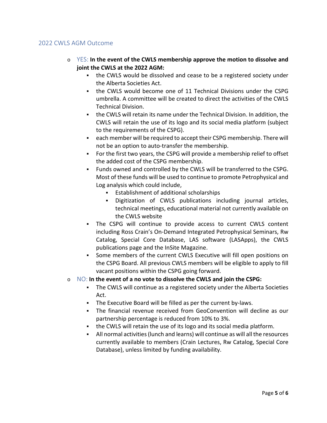# <span id="page-5-1"></span><span id="page-5-0"></span>2022 CWLS AGM Outcome

- o YES: **In the event of the CWLS membership approve the motion to dissolve and joint the CWLS at the 2022 AGM:**
	- the CWLS would be dissolved and cease to be a registered society under the Alberta Societies Act.
	- the CWLS would become one of 11 Technical Divisions under the CSPG umbrella. A committee will be created to direct the activities of the CWLS Technical Division.
	- the CWLS will retain its name under the Technical Division. In addition, the CWLS will retain the use of its logo and its social media platform (subject to the requirements of the CSPG).
	- each member will be required to accept their CSPG membership. There will not be an option to auto-transfer the membership.
	- For the first two years, the CSPG will provide a membership relief to offset the added cost of the CSPG membership.
	- Funds owned and controlled by the CWLS will be transferred to the CSPG. Most of these funds will be used to continue to promote Petrophysical and Log analysis which could include,
		- **Establishment of additional scholarships**
		- Digitization of CWLS publications including journal articles, technical meetings, educational material not currently available on the CWLS website
	- The CSPG will continue to provide access to current CWLS content including Ross Crain's On-Demand Integrated Petrophysical Seminars, Rw Catalog, Special Core Database, LAS software (LASApps), the CWLS publications page and the InSite Magazine.
	- Some members of the current CWLS Executive will fill open positions on the CSPG Board. All previous CWLS members will be eligible to apply to fill vacant positions within the CSPG going forward.
- <span id="page-5-2"></span>o NO: **In the event of a no vote to dissolve the CWLS and join the CSPG:**
	- The CWLS will continue as a registered society under the Alberta Societies Act.
	- The Executive Board will be filled as per the current by-laws.
	- The financial revenue received from GeoConvention will decline as our partnership percentage is reduced from 10% to 3%.
	- the CWLS will retain the use of its logo and its social media platform.
	- All normal activities (lunch and learns) will continue as will all the resources currently available to members (Crain Lectures, Rw Catalog, Special Core Database), unless limited by funding availability.